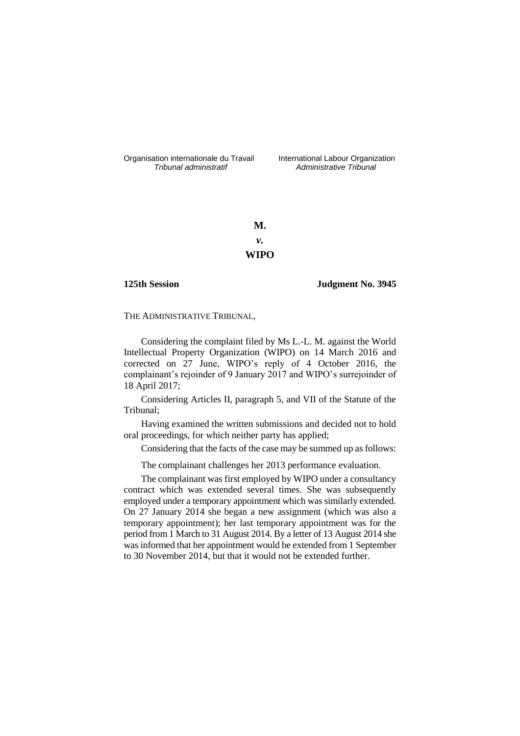Organisation internationale du Travail liternational Labour Organization<br> *Tribunal administratif Administrative Tribunal* 

*Tribunal administratif Administrative Tribunal*

**M.** *v.* **WIPO**

**125th Session Judgment No. 3945**

THE ADMINISTRATIVE TRIBUNAL,

Considering the complaint filed by Ms L.-L. M. against the World Intellectual Property Organization (WIPO) on 14 March 2016 and corrected on 27 June, WIPO's reply of 4 October 2016, the complainant's rejoinder of 9 January 2017 and WIPO's surrejoinder of 18 April 2017;

Considering Articles II, paragraph 5, and VII of the Statute of the Tribunal;

Having examined the written submissions and decided not to hold oral proceedings, for which neither party has applied;

Considering that the facts of the case may be summed up as follows:

The complainant challenges her 2013 performance evaluation.

The complainant was first employed by WIPO under a consultancy contract which was extended several times. She was subsequently employed under a temporary appointment which was similarly extended. On 27 January 2014 she began a new assignment (which was also a temporary appointment); her last temporary appointment was for the period from 1 March to 31 August 2014. By a letter of 13 August 2014 she was informed that her appointment would be extended from 1 September to 30 November 2014, but that it would not be extended further.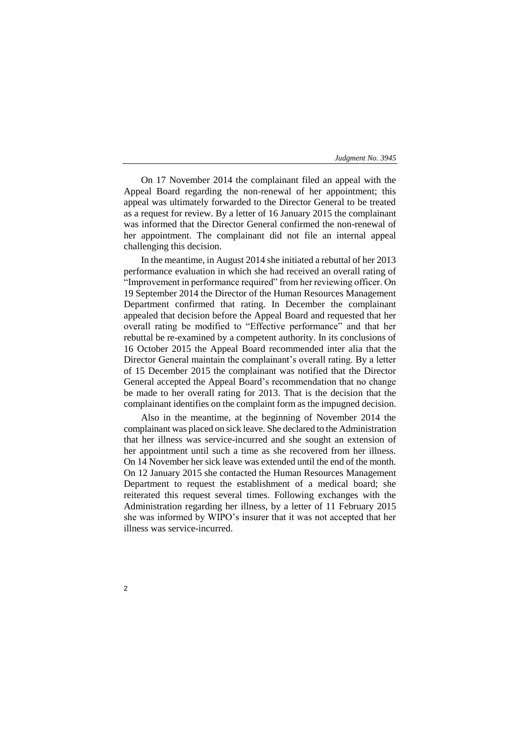On 17 November 2014 the complainant filed an appeal with the Appeal Board regarding the non-renewal of her appointment; this appeal was ultimately forwarded to the Director General to be treated as a request for review. By a letter of 16 January 2015 the complainant was informed that the Director General confirmed the non-renewal of her appointment. The complainant did not file an internal appeal challenging this decision.

In the meantime, in August 2014 she initiated a rebuttal of her 2013 performance evaluation in which she had received an overall rating of "Improvement in performance required" from her reviewing officer. On 19 September 2014 the Director of the Human Resources Management Department confirmed that rating. In December the complainant appealed that decision before the Appeal Board and requested that her overall rating be modified to "Effective performance" and that her rebuttal be re-examined by a competent authority. In its conclusions of 16 October 2015 the Appeal Board recommended inter alia that the Director General maintain the complainant's overall rating. By a letter of 15 December 2015 the complainant was notified that the Director General accepted the Appeal Board's recommendation that no change be made to her overall rating for 2013. That is the decision that the complainant identifies on the complaint form as the impugned decision.

Also in the meantime, at the beginning of November 2014 the complainant was placed on sick leave. She declared to the Administration that her illness was service-incurred and she sought an extension of her appointment until such a time as she recovered from her illness. On 14 November her sick leave was extended until the end of the month. On 12 January 2015 she contacted the Human Resources Management Department to request the establishment of a medical board; she reiterated this request several times. Following exchanges with the Administration regarding her illness, by a letter of 11 February 2015 she was informed by WIPO's insurer that it was not accepted that her illness was service-incurred.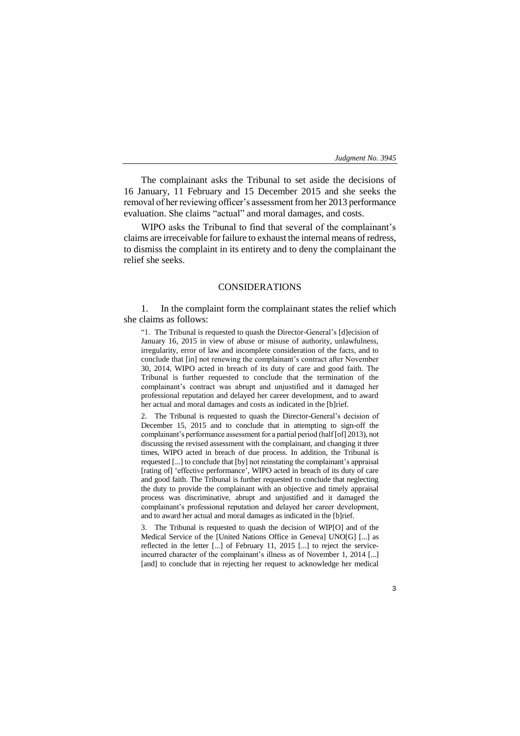The complainant asks the Tribunal to set aside the decisions of 16 January, 11 February and 15 December 2015 and she seeks the removal of her reviewing officer's assessment from her 2013 performance evaluation. She claims "actual" and moral damages, and costs.

WIPO asks the Tribunal to find that several of the complainant's claims are irreceivable for failure to exhaust the internal means of redress, to dismiss the complaint in its entirety and to deny the complainant the relief she seeks.

# CONSIDERATIONS

1. In the complaint form the complainant states the relief which she claims as follows:

"1. The Tribunal is requested to quash the Director-General's [d]ecision of January 16, 2015 in view of abuse or misuse of authority, unlawfulness, irregularity, error of law and incomplete consideration of the facts, and to conclude that [in] not renewing the complainant's contract after November 30, 2014, WIPO acted in breach of its duty of care and good faith. The Tribunal is further requested to conclude that the termination of the complainant's contract was abrupt and unjustified and it damaged her professional reputation and delayed her career development, and to award her actual and moral damages and costs as indicated in the [b]rief.

2. The Tribunal is requested to quash the Director-General's decision of December 15, 2015 and to conclude that in attempting to sign-off the complainant's performance assessment for a partial period (half [of] 2013), not discussing the revised assessment with the complainant, and changing it three times, WIPO acted in breach of due process. In addition, the Tribunal is requested [...] to conclude that [by] not reinstating the complainant's appraisal [rating of] 'effective performance', WIPO acted in breach of its duty of care and good faith. The Tribunal is further requested to conclude that neglecting the duty to provide the complainant with an objective and timely appraisal process was discriminative, abrupt and unjustified and it damaged the complainant's professional reputation and delayed her career development, and to award her actual and moral damages as indicated in the [b]rief.

3. The Tribunal is requested to quash the decision of WIP[O] and of the Medical Service of the [United Nations Office in Geneva] UNO[G] [...] as reflected in the letter [...] of February 11, 2015 [...] to reject the serviceincurred character of the complainant's illness as of November 1, 2014 [...] [and] to conclude that in rejecting her request to acknowledge her medical

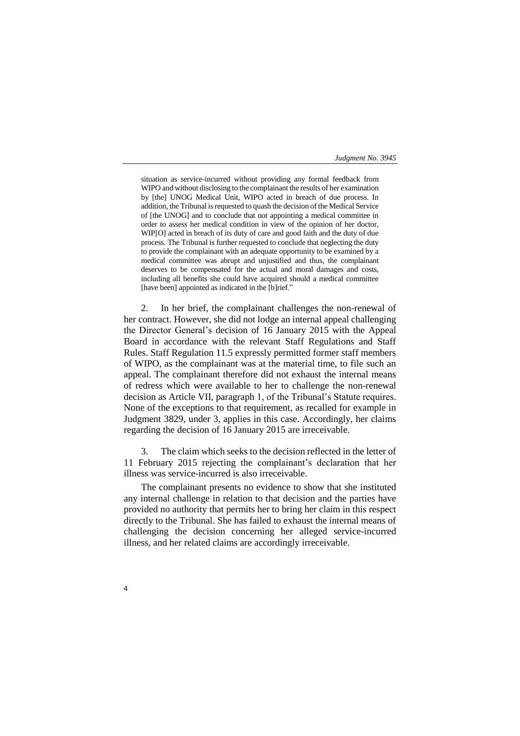situation as service-incurred without providing any formal feedback from WIPO and without disclosing to the complainant the results of her examination by [the] UNOG Medical Unit, WIPO acted in breach of due process. In addition, the Tribunal is requested to quash the decision of the Medical Service of [the UNOG] and to conclude that not appointing a medical committee in order to assess her medical condition in view of the opinion of her doctor, WIP[O] acted in breach of its duty of care and good faith and the duty of due process. The Tribunal is further requested to conclude that neglecting the duty to provide the complainant with an adequate opportunity to be examined by a medical committee was abrupt and unjustified and thus, the complainant deserves to be compensated for the actual and moral damages and costs, including all benefits she could have acquired should a medical committee [have been] appointed as indicated in the [b]rief."

2. In her brief, the complainant challenges the non-renewal of her contract. However, she did not lodge an internal appeal challenging the Director General's decision of 16 January 2015 with the Appeal Board in accordance with the relevant Staff Regulations and Staff Rules. Staff Regulation 11.5 expressly permitted former staff members of WIPO, as the complainant was at the material time, to file such an appeal. The complainant therefore did not exhaust the internal means of redress which were available to her to challenge the non-renewal decision as Article VII, paragraph 1, of the Tribunal's Statute requires. None of the exceptions to that requirement, as recalled for example in Judgment 3829, under 3, applies in this case. Accordingly, her claims regarding the decision of 16 January 2015 are irreceivable.

3. The claim which seeks to the decision reflected in the letter of 11 February 2015 rejecting the complainant's declaration that her illness was service-incurred is also irreceivable.

The complainant presents no evidence to show that she instituted any internal challenge in relation to that decision and the parties have provided no authority that permits her to bring her claim in this respect directly to the Tribunal. She has failed to exhaust the internal means of challenging the decision concerning her alleged service-incurred illness, and her related claims are accordingly irreceivable.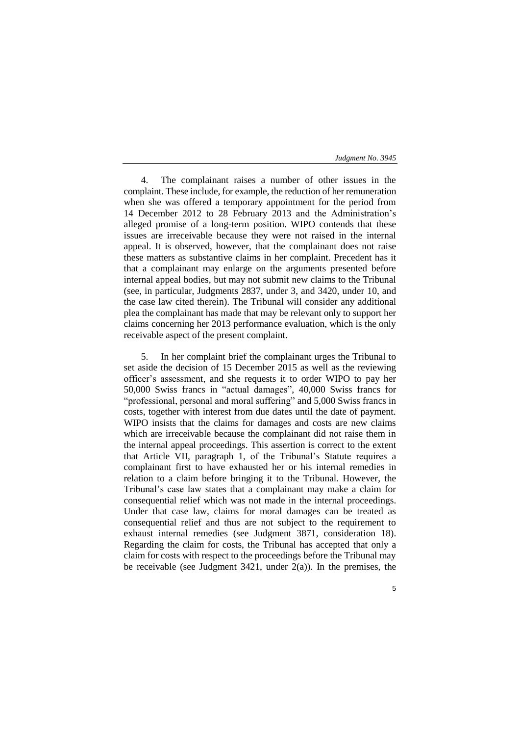4. The complainant raises a number of other issues in the complaint. These include, for example, the reduction of her remuneration when she was offered a temporary appointment for the period from 14 December 2012 to 28 February 2013 and the Administration's alleged promise of a long-term position. WIPO contends that these issues are irreceivable because they were not raised in the internal appeal. It is observed, however, that the complainant does not raise these matters as substantive claims in her complaint. Precedent has it that a complainant may enlarge on the arguments presented before internal appeal bodies, but may not submit new claims to the Tribunal (see, in particular, Judgments 2837, under 3, and 3420, under 10, and the case law cited therein). The Tribunal will consider any additional plea the complainant has made that may be relevant only to support her claims concerning her 2013 performance evaluation, which is the only receivable aspect of the present complaint.

5. In her complaint brief the complainant urges the Tribunal to set aside the decision of 15 December 2015 as well as the reviewing officer's assessment, and she requests it to order WIPO to pay her 50,000 Swiss francs in "actual damages", 40,000 Swiss francs for "professional, personal and moral suffering" and 5,000 Swiss francs in costs, together with interest from due dates until the date of payment. WIPO insists that the claims for damages and costs are new claims which are irreceivable because the complainant did not raise them in the internal appeal proceedings. This assertion is correct to the extent that Article VII, paragraph 1, of the Tribunal's Statute requires a complainant first to have exhausted her or his internal remedies in relation to a claim before bringing it to the Tribunal. However, the Tribunal's case law states that a complainant may make a claim for consequential relief which was not made in the internal proceedings. Under that case law, claims for moral damages can be treated as consequential relief and thus are not subject to the requirement to exhaust internal remedies (see Judgment 3871, consideration 18). Regarding the claim for costs, the Tribunal has accepted that only a claim for costs with respect to the proceedings before the Tribunal may be receivable (see Judgment  $3421$ , under  $2(a)$ ). In the premises, the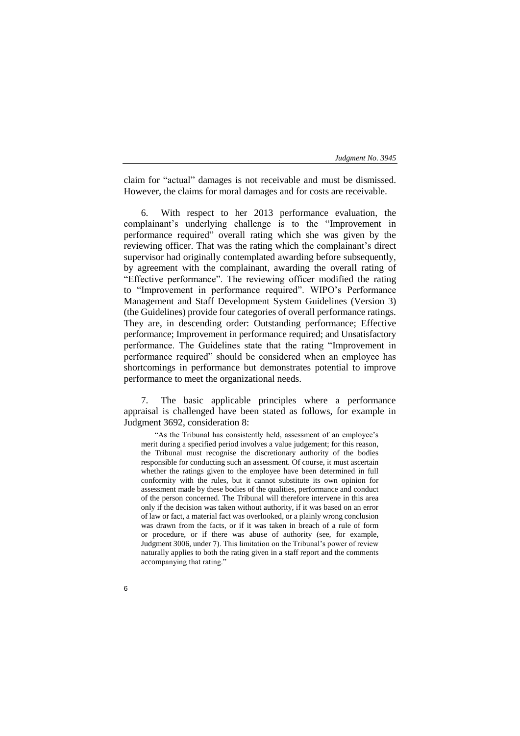claim for "actual" damages is not receivable and must be dismissed. However, the claims for moral damages and for costs are receivable.

With respect to her 2013 performance evaluation, the complainant's underlying challenge is to the "Improvement in performance required" overall rating which she was given by the reviewing officer. That was the rating which the complainant's direct supervisor had originally contemplated awarding before subsequently, by agreement with the complainant, awarding the overall rating of "Effective performance". The reviewing officer modified the rating to "Improvement in performance required". WIPO's Performance Management and Staff Development System Guidelines (Version 3) (the Guidelines) provide four categories of overall performance ratings. They are, in descending order: Outstanding performance; Effective performance; Improvement in performance required; and Unsatisfactory performance. The Guidelines state that the rating "Improvement in performance required" should be considered when an employee has shortcomings in performance but demonstrates potential to improve performance to meet the organizational needs.

7. The basic applicable principles where a performance appraisal is challenged have been stated as follows, for example in Judgment 3692, consideration 8:

"As the Tribunal has consistently held, assessment of an employee's merit during a specified period involves a value judgement; for this reason, the Tribunal must recognise the discretionary authority of the bodies responsible for conducting such an assessment. Of course, it must ascertain whether the ratings given to the employee have been determined in full conformity with the rules, but it cannot substitute its own opinion for assessment made by these bodies of the qualities, performance and conduct of the person concerned. The Tribunal will therefore intervene in this area only if the decision was taken without authority, if it was based on an error of law or fact, a material fact was overlooked, or a plainly wrong conclusion was drawn from the facts, or if it was taken in breach of a rule of form or procedure, or if there was abuse of authority (see, for example, Judgment 3006, under 7). This limitation on the Tribunal's power of review naturally applies to both the rating given in a staff report and the comments accompanying that rating."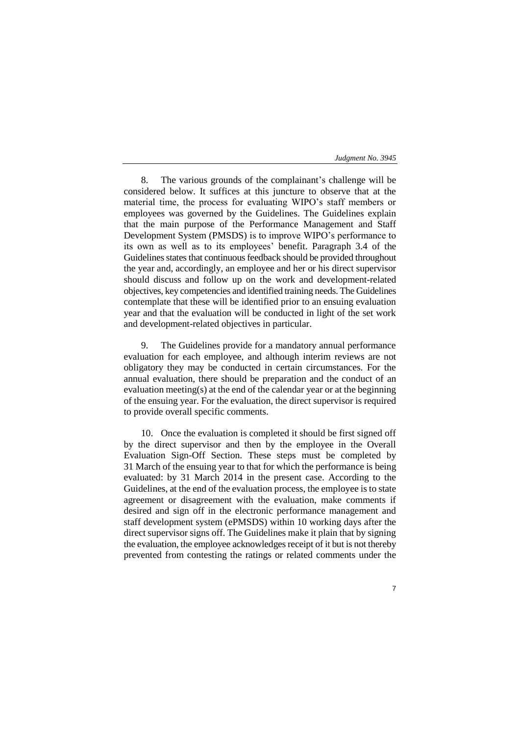8. The various grounds of the complainant's challenge will be considered below. It suffices at this juncture to observe that at the material time, the process for evaluating WIPO's staff members or employees was governed by the Guidelines. The Guidelines explain that the main purpose of the Performance Management and Staff Development System (PMSDS) is to improve WIPO's performance to its own as well as to its employees' benefit. Paragraph 3.4 of the Guidelines states that continuous feedback should be provided throughout the year and, accordingly, an employee and her or his direct supervisor should discuss and follow up on the work and development-related objectives, key competencies and identified training needs. The Guidelines contemplate that these will be identified prior to an ensuing evaluation year and that the evaluation will be conducted in light of the set work and development-related objectives in particular.

9. The Guidelines provide for a mandatory annual performance evaluation for each employee, and although interim reviews are not obligatory they may be conducted in certain circumstances. For the annual evaluation, there should be preparation and the conduct of an evaluation meeting(s) at the end of the calendar year or at the beginning of the ensuing year. For the evaluation, the direct supervisor is required to provide overall specific comments.

10. Once the evaluation is completed it should be first signed off by the direct supervisor and then by the employee in the Overall Evaluation Sign-Off Section. These steps must be completed by 31 March of the ensuing year to that for which the performance is being evaluated: by 31 March 2014 in the present case. According to the Guidelines, at the end of the evaluation process, the employee is to state agreement or disagreement with the evaluation, make comments if desired and sign off in the electronic performance management and staff development system (ePMSDS) within 10 working days after the direct supervisor signs off. The Guidelines make it plain that by signing the evaluation, the employee acknowledges receipt of it but is not thereby prevented from contesting the ratings or related comments under the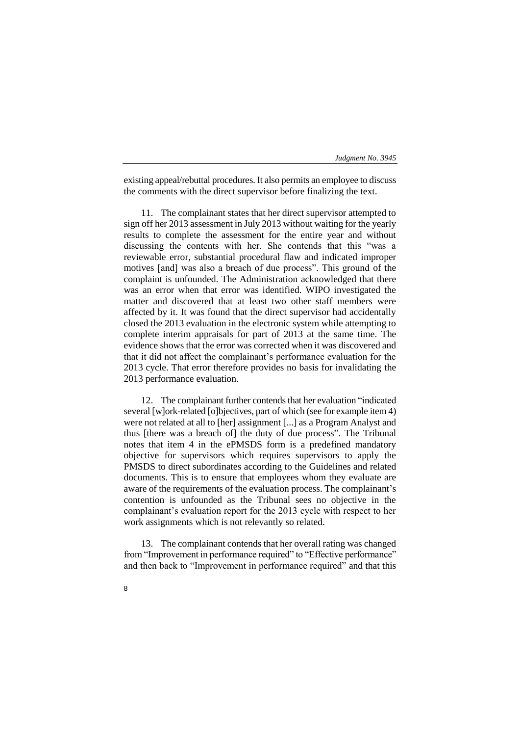existing appeal/rebuttal procedures. It also permits an employee to discuss the comments with the direct supervisor before finalizing the text.

11. The complainant states that her direct supervisor attempted to sign off her 2013 assessment in July 2013 without waiting for the yearly results to complete the assessment for the entire year and without discussing the contents with her. She contends that this "was a reviewable error, substantial procedural flaw and indicated improper motives [and] was also a breach of due process". This ground of the complaint is unfounded. The Administration acknowledged that there was an error when that error was identified. WIPO investigated the matter and discovered that at least two other staff members were affected by it. It was found that the direct supervisor had accidentally closed the 2013 evaluation in the electronic system while attempting to complete interim appraisals for part of 2013 at the same time. The evidence shows that the error was corrected when it was discovered and that it did not affect the complainant's performance evaluation for the 2013 cycle. That error therefore provides no basis for invalidating the 2013 performance evaluation.

12. The complainant further contends that her evaluation "indicated several [w]ork-related [o]bjectives, part of which (see for example item 4) were not related at all to [her] assignment [...] as a Program Analyst and thus [there was a breach of] the duty of due process". The Tribunal notes that item 4 in the ePMSDS form is a predefined mandatory objective for supervisors which requires supervisors to apply the PMSDS to direct subordinates according to the Guidelines and related documents. This is to ensure that employees whom they evaluate are aware of the requirements of the evaluation process. The complainant's contention is unfounded as the Tribunal sees no objective in the complainant's evaluation report for the 2013 cycle with respect to her work assignments which is not relevantly so related.

13. The complainant contends that her overall rating was changed from "Improvement in performance required" to "Effective performance" and then back to "Improvement in performance required" and that this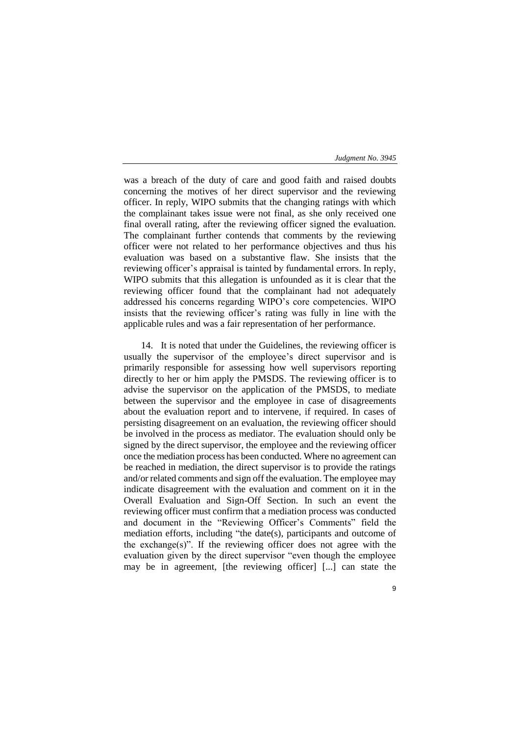was a breach of the duty of care and good faith and raised doubts concerning the motives of her direct supervisor and the reviewing officer. In reply, WIPO submits that the changing ratings with which the complainant takes issue were not final, as she only received one final overall rating, after the reviewing officer signed the evaluation. The complainant further contends that comments by the reviewing officer were not related to her performance objectives and thus his evaluation was based on a substantive flaw. She insists that the reviewing officer's appraisal is tainted by fundamental errors. In reply, WIPO submits that this allegation is unfounded as it is clear that the reviewing officer found that the complainant had not adequately addressed his concerns regarding WIPO's core competencies. WIPO insists that the reviewing officer's rating was fully in line with the applicable rules and was a fair representation of her performance.

14. It is noted that under the Guidelines, the reviewing officer is usually the supervisor of the employee's direct supervisor and is primarily responsible for assessing how well supervisors reporting directly to her or him apply the PMSDS. The reviewing officer is to advise the supervisor on the application of the PMSDS, to mediate between the supervisor and the employee in case of disagreements about the evaluation report and to intervene, if required. In cases of persisting disagreement on an evaluation, the reviewing officer should be involved in the process as mediator. The evaluation should only be signed by the direct supervisor, the employee and the reviewing officer once the mediation process has been conducted. Where no agreement can be reached in mediation, the direct supervisor is to provide the ratings and/or related comments and sign off the evaluation. The employee may indicate disagreement with the evaluation and comment on it in the Overall Evaluation and Sign-Off Section. In such an event the reviewing officer must confirm that a mediation process was conducted and document in the "Reviewing Officer's Comments" field the mediation efforts, including "the date(s), participants and outcome of the exchange(s)". If the reviewing officer does not agree with the evaluation given by the direct supervisor "even though the employee may be in agreement, [the reviewing officer] [...] can state the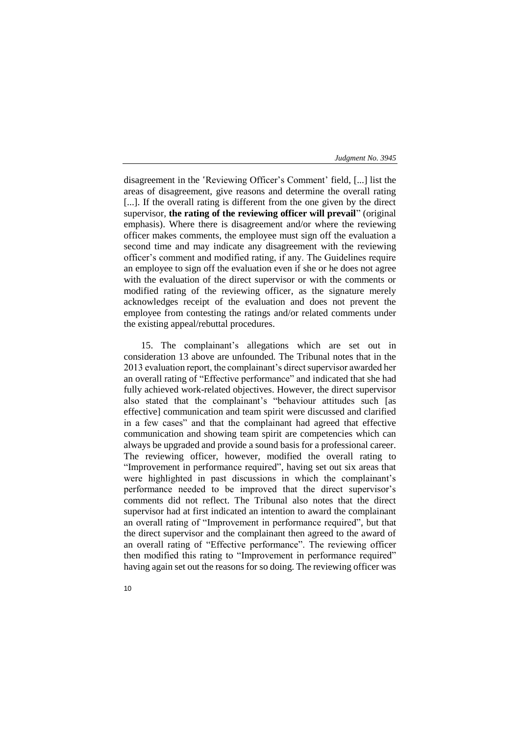disagreement in the ʽReviewing Officer's Comment' field, [...] list the areas of disagreement, give reasons and determine the overall rating [...]. If the overall rating is different from the one given by the direct supervisor, **the rating of the reviewing officer will prevail**" (original emphasis). Where there is disagreement and/or where the reviewing officer makes comments, the employee must sign off the evaluation a second time and may indicate any disagreement with the reviewing officer's comment and modified rating, if any. The Guidelines require an employee to sign off the evaluation even if she or he does not agree with the evaluation of the direct supervisor or with the comments or modified rating of the reviewing officer, as the signature merely acknowledges receipt of the evaluation and does not prevent the employee from contesting the ratings and/or related comments under the existing appeal/rebuttal procedures.

15. The complainant's allegations which are set out in consideration 13 above are unfounded. The Tribunal notes that in the 2013 evaluation report, the complainant's direct supervisor awarded her an overall rating of "Effective performance" and indicated that she had fully achieved work-related objectives. However, the direct supervisor also stated that the complainant's "behaviour attitudes such [as effective] communication and team spirit were discussed and clarified in a few cases" and that the complainant had agreed that effective communication and showing team spirit are competencies which can always be upgraded and provide a sound basis for a professional career. The reviewing officer, however, modified the overall rating to "Improvement in performance required", having set out six areas that were highlighted in past discussions in which the complainant's performance needed to be improved that the direct supervisor's comments did not reflect. The Tribunal also notes that the direct supervisor had at first indicated an intention to award the complainant an overall rating of "Improvement in performance required", but that the direct supervisor and the complainant then agreed to the award of an overall rating of "Effective performance". The reviewing officer then modified this rating to "Improvement in performance required" having again set out the reasons for so doing. The reviewing officer was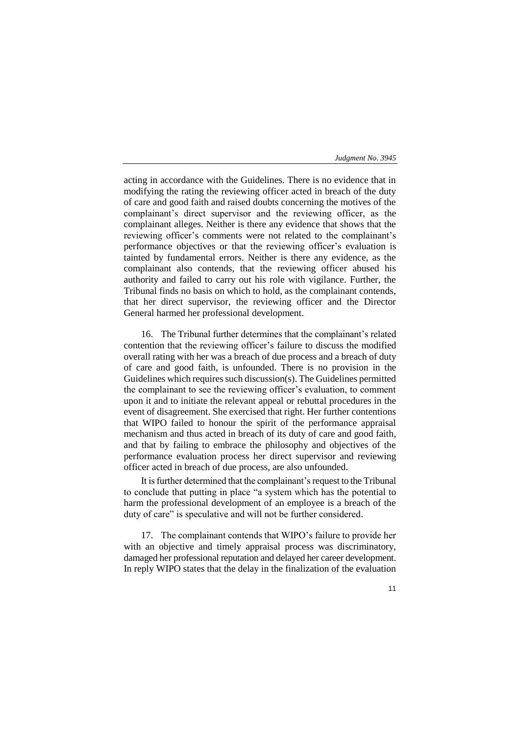acting in accordance with the Guidelines. There is no evidence that in modifying the rating the reviewing officer acted in breach of the duty of care and good faith and raised doubts concerning the motives of the complainant's direct supervisor and the reviewing officer, as the complainant alleges. Neither is there any evidence that shows that the reviewing officer's comments were not related to the complainant's performance objectives or that the reviewing officer's evaluation is tainted by fundamental errors. Neither is there any evidence, as the complainant also contends, that the reviewing officer abused his authority and failed to carry out his role with vigilance. Further, the Tribunal finds no basis on which to hold, as the complainant contends, that her direct supervisor, the reviewing officer and the Director General harmed her professional development.

16. The Tribunal further determines that the complainant's related contention that the reviewing officer's failure to discuss the modified overall rating with her was a breach of due process and a breach of duty of care and good faith, is unfounded. There is no provision in the Guidelines which requires such discussion(s). The Guidelines permitted the complainant to see the reviewing officer's evaluation, to comment upon it and to initiate the relevant appeal or rebuttal procedures in the event of disagreement. She exercised that right. Her further contentions that WIPO failed to honour the spirit of the performance appraisal mechanism and thus acted in breach of its duty of care and good faith, and that by failing to embrace the philosophy and objectives of the performance evaluation process her direct supervisor and reviewing officer acted in breach of due process, are also unfounded.

It is further determined that the complainant's request to the Tribunal to conclude that putting in place "a system which has the potential to harm the professional development of an employee is a breach of the duty of care" is speculative and will not be further considered.

17. The complainant contends that WIPO's failure to provide her with an objective and timely appraisal process was discriminatory, damaged her professional reputation and delayed her career development. In reply WIPO states that the delay in the finalization of the evaluation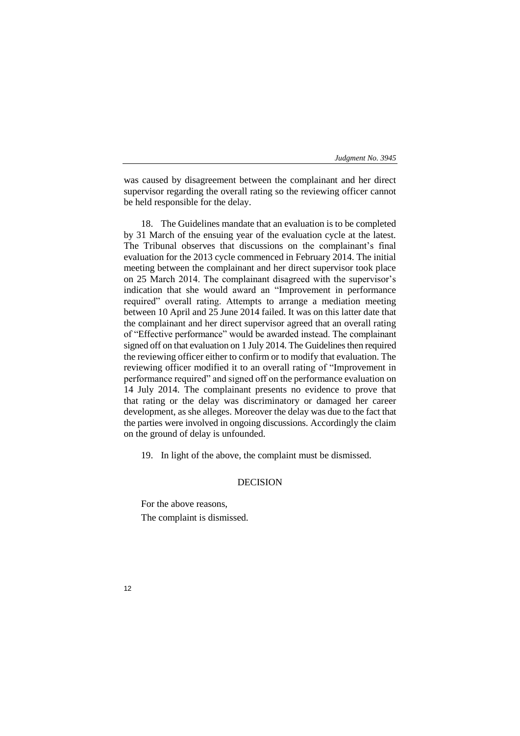was caused by disagreement between the complainant and her direct supervisor regarding the overall rating so the reviewing officer cannot be held responsible for the delay.

18. The Guidelines mandate that an evaluation is to be completed by 31 March of the ensuing year of the evaluation cycle at the latest. The Tribunal observes that discussions on the complainant's final evaluation for the 2013 cycle commenced in February 2014. The initial meeting between the complainant and her direct supervisor took place on 25 March 2014. The complainant disagreed with the supervisor's indication that she would award an "Improvement in performance required" overall rating. Attempts to arrange a mediation meeting between 10 April and 25 June 2014 failed. It was on this latter date that the complainant and her direct supervisor agreed that an overall rating of "Effective performance" would be awarded instead. The complainant signed off on that evaluation on 1 July 2014. The Guidelines then required the reviewing officer either to confirm or to modify that evaluation. The reviewing officer modified it to an overall rating of "Improvement in performance required" and signed off on the performance evaluation on 14 July 2014. The complainant presents no evidence to prove that that rating or the delay was discriminatory or damaged her career development, as she alleges. Moreover the delay was due to the fact that the parties were involved in ongoing discussions. Accordingly the claim on the ground of delay is unfounded.

19. In light of the above, the complaint must be dismissed.

# DECISION

For the above reasons, The complaint is dismissed.